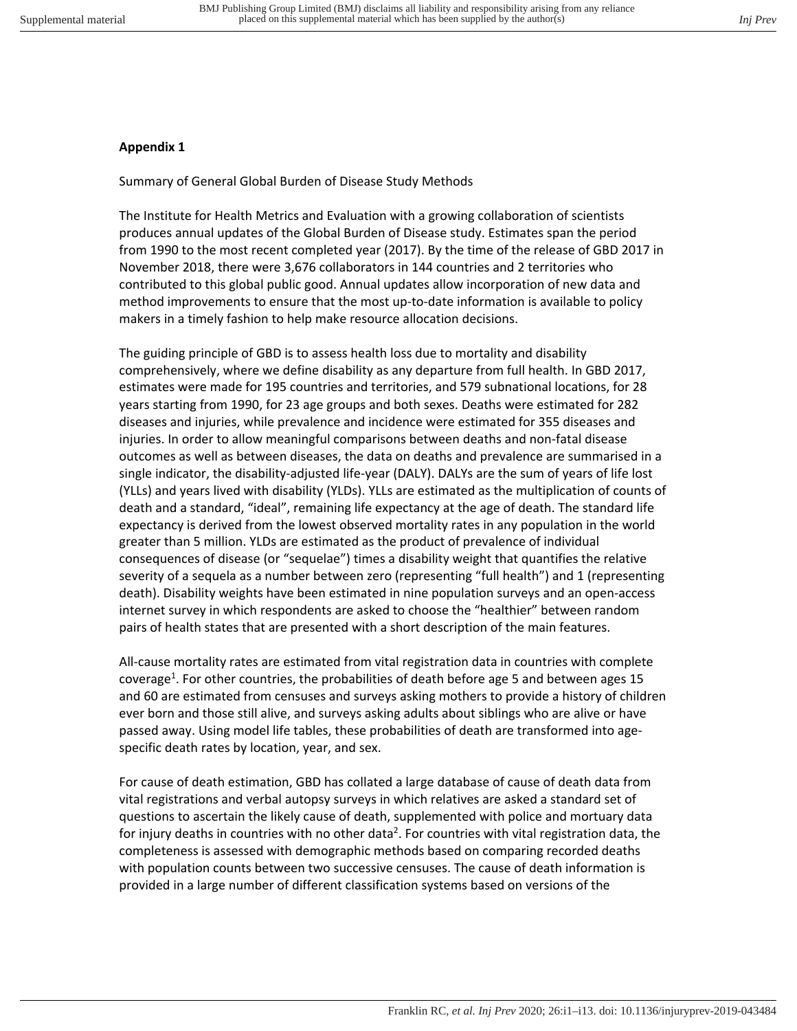## **Appendix 1**

Summary of General Global Burden of Disease Study Methods

The Institute for Health Metrics and Evaluation with a growing collaboration of scientists produces annual updates of the Global Burden of Disease study. Estimates span the period from 1990 to the most recent completed year (2017). By the time of the release of GBD 2017 in November 2018, there were 3,676 collaborators in 144 countries and 2 territories who contributed to this global public good. Annual updates allow incorporation of new data and method improvements to ensure that the most up-to-date information is available to policy makers in a timely fashion to help make resource allocation decisions.

The guiding principle of GBD is to assess health loss due to mortality and disability comprehensively, where we define disability as any departure from full health. In GBD 2017, estimates were made for 195 countries and territories, and 579 subnational locations, for 28 years starting from 1990, for 23 age groups and both sexes. Deaths were estimated for 282 diseases and injuries, while prevalence and incidence were estimated for 355 diseases and injuries. In order to allow meaningful comparisons between deaths and non-fatal disease outcomes as well as between diseases, the data on deaths and prevalence are summarised in a single indicator, the disability-adjusted life-year (DALY). DALYs are the sum of years of life lost (YLLs) and years lived with disability (YLDs). YLLs are estimated as the multiplication of counts of death and a standard, "ideal", remaining life expectancy at the age of death. The standard life expectancy is derived from the lowest observed mortality rates in any population in the world greater than 5 million. YLDs are estimated as the product of prevalence of individual consequences of disease (or "sequelae") times a disability weight that quantifies the relative severity of a sequela as a number between zero (representing "full health") and 1 (representing death). Disability weights have been estimated in nine population surveys and an open-access internet survey in which respondents are asked to choose the "healthier" between random pairs of health states that are presented with a short description of the main features.

All-cause mortality rates are estimated from vital registration data in countries with complete coverage<sup>1</sup>. For other countries, the probabilities of death before age 5 and between ages 15 and 60 are estimated from censuses and surveys asking mothers to provide a history of children ever born and those still alive, and surveys asking adults about siblings who are alive or have passed away. Using model life tables, these probabilities of death are transformed into agespecific death rates by location, year, and sex.

For cause of death estimation, GBD has collated a large database of cause of death data from vital registrations and verbal autopsy surveys in which relatives are asked a standard set of questions to ascertain the likely cause of death, supplemented with police and mortuary data for injury deaths in countries with no other data<sup>2</sup>. For countries with vital registration data, the completeness is assessed with demographic methods based on comparing recorded deaths with population counts between two successive censuses. The cause of death information is provided in a large number of different classification systems based on versions of the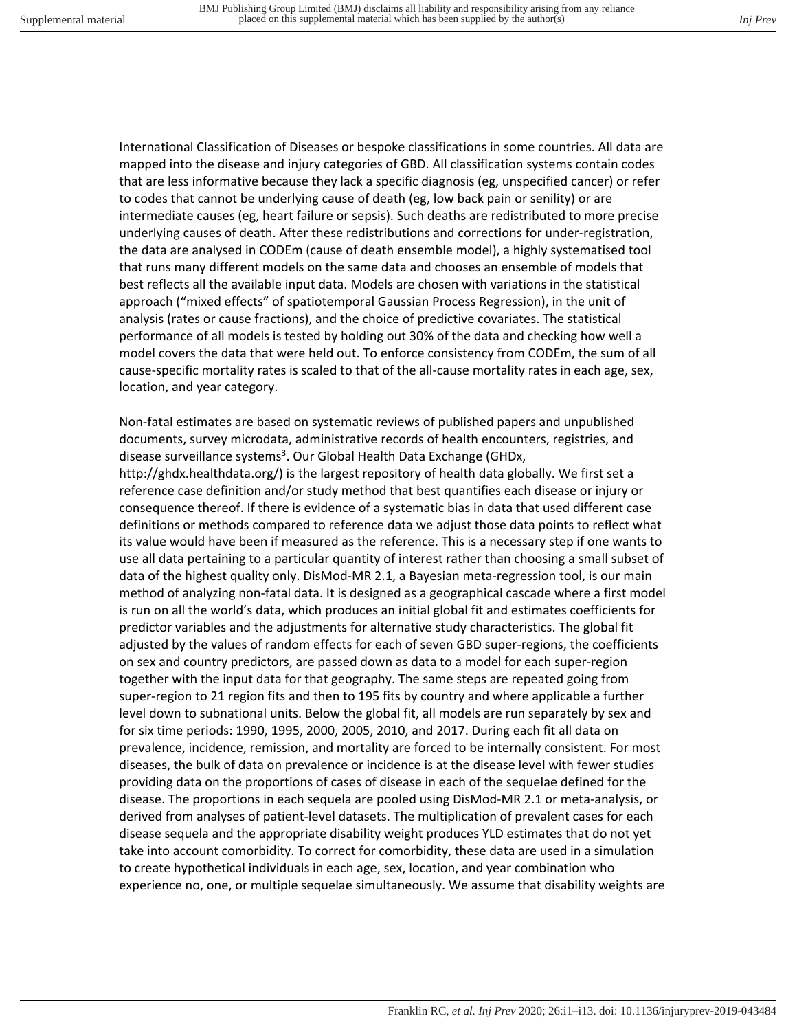International Classification of Diseases or bespoke classifications in some countries. All data are mapped into the disease and injury categories of GBD. All classification systems contain codes that are less informative because they lack a specific diagnosis (eg, unspecified cancer) or refer to codes that cannot be underlying cause of death (eg, low back pain or senility) or are intermediate causes (eg, heart failure or sepsis). Such deaths are redistributed to more precise underlying causes of death. After these redistributions and corrections for under-registration, the data are analysed in CODEm (cause of death ensemble model), a highly systematised tool that runs many different models on the same data and chooses an ensemble of models that best reflects all the available input data. Models are chosen with variations in the statistical approach ("mixed effects" of spatiotemporal Gaussian Process Regression), in the unit of analysis (rates or cause fractions), and the choice of predictive covariates. The statistical performance of all models is tested by holding out 30% of the data and checking how well a model covers the data that were held out. To enforce consistency from CODEm, the sum of all cause-specific mortality rates is scaled to that of the all-cause mortality rates in each age, sex, location, and year category.

Non-fatal estimates are based on systematic reviews of published papers and unpublished documents, survey microdata, administrative records of health encounters, registries, and disease surveillance systems<sup>3</sup>. Our Global Health Data Exchange (GHDx,

http://ghdx.healthdata.org/) is the largest repository of health data globally. We first set a reference case definition and/or study method that best quantifies each disease or injury or consequence thereof. If there is evidence of a systematic bias in data that used different case definitions or methods compared to reference data we adjust those data points to reflect what its value would have been if measured as the reference. This is a necessary step if one wants to use all data pertaining to a particular quantity of interest rather than choosing a small subset of data of the highest quality only. DisMod-MR 2.1, a Bayesian meta-regression tool, is our main method of analyzing non-fatal data. It is designed as a geographical cascade where a first model is run on all the world's data, which produces an initial global fit and estimates coefficients for predictor variables and the adjustments for alternative study characteristics. The global fit adjusted by the values of random effects for each of seven GBD super-regions, the coefficients on sex and country predictors, are passed down as data to a model for each super-region together with the input data for that geography. The same steps are repeated going from super-region to 21 region fits and then to 195 fits by country and where applicable a further level down to subnational units. Below the global fit, all models are run separately by sex and for six time periods: 1990, 1995, 2000, 2005, 2010, and 2017. During each fit all data on prevalence, incidence, remission, and mortality are forced to be internally consistent. For most diseases, the bulk of data on prevalence or incidence is at the disease level with fewer studies providing data on the proportions of cases of disease in each of the sequelae defined for the disease. The proportions in each sequela are pooled using DisMod-MR 2.1 or meta-analysis, or derived from analyses of patient-level datasets. The multiplication of prevalent cases for each disease sequela and the appropriate disability weight produces YLD estimates that do not yet take into account comorbidity. To correct for comorbidity, these data are used in a simulation to create hypothetical individuals in each age, sex, location, and year combination who experience no, one, or multiple sequelae simultaneously. We assume that disability weights are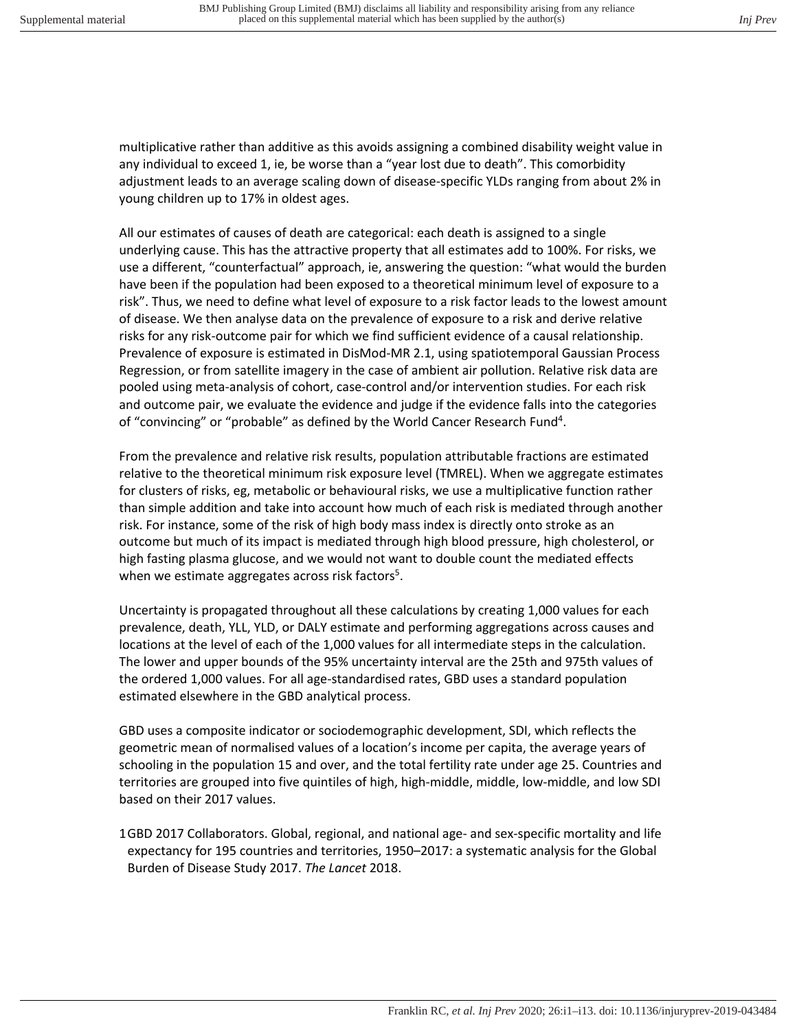multiplicative rather than additive as this avoids assigning a combined disability weight value in any individual to exceed 1, ie, be worse than a "year lost due to death". This comorbidity adjustment leads to an average scaling down of disease-specific YLDs ranging from about 2% in young children up to 17% in oldest ages.

All our estimates of causes of death are categorical: each death is assigned to a single underlying cause. This has the attractive property that all estimates add to 100%. For risks, we use a different, "counterfactual" approach, ie, answering the question: "what would the burden have been if the population had been exposed to a theoretical minimum level of exposure to a risk". Thus, we need to define what level of exposure to a risk factor leads to the lowest amount of disease. We then analyse data on the prevalence of exposure to a risk and derive relative risks for any risk-outcome pair for which we find sufficient evidence of a causal relationship. Prevalence of exposure is estimated in DisMod-MR 2.1, using spatiotemporal Gaussian Process Regression, or from satellite imagery in the case of ambient air pollution. Relative risk data are pooled using meta-analysis of cohort, case-control and/or intervention studies. For each risk and outcome pair, we evaluate the evidence and judge if the evidence falls into the categories of "convincing" or "probable" as defined by the World Cancer Research Fund<sup>4</sup>.

From the prevalence and relative risk results, population attributable fractions are estimated relative to the theoretical minimum risk exposure level (TMREL). When we aggregate estimates for clusters of risks, eg, metabolic or behavioural risks, we use a multiplicative function rather than simple addition and take into account how much of each risk is mediated through another risk. For instance, some of the risk of high body mass index is directly onto stroke as an outcome but much of its impact is mediated through high blood pressure, high cholesterol, or high fasting plasma glucose, and we would not want to double count the mediated effects when we estimate aggregates across risk factors<sup>5</sup>.

Uncertainty is propagated throughout all these calculations by creating 1,000 values for each prevalence, death, YLL, YLD, or DALY estimate and performing aggregations across causes and locations at the level of each of the 1,000 values for all intermediate steps in the calculation. The lower and upper bounds of the 95% uncertainty interval are the 25th and 975th values of the ordered 1,000 values. For all age-standardised rates, GBD uses a standard population estimated elsewhere in the GBD analytical process.

GBD uses a composite indicator or sociodemographic development, SDI, which reflects the geometric mean of normalised values of a location's income per capita, the average years of schooling in the population 15 and over, and the total fertility rate under age 25. Countries and territories are grouped into five quintiles of high, high-middle, middle, low-middle, and low SDI based on their 2017 values.

1 GBD 2017 Collaborators. Global, regional, and national age- and sex-specific mortality and life expectancy for 195 countries and territories, 1950–2017: a systematic analysis for the Global Burden of Disease Study 2017. *The Lancet* 2018.